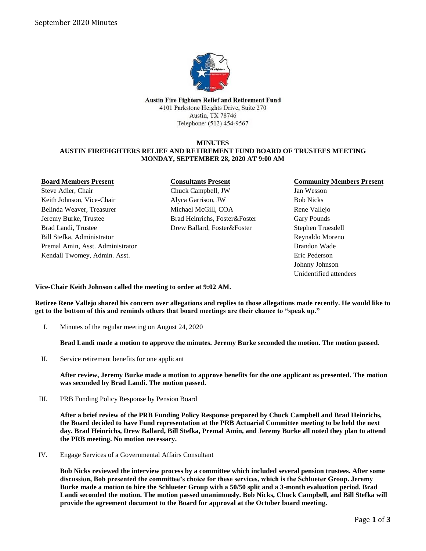

Austin Fire Fighters Relief and Retirement Fund 4101 Parkstone Heights Drive, Suite 270 Austin, TX 78746 Telephone: (512) 454-9567

## **MINUTES AUSTIN FIREFIGHTERS RELIEF AND RETIREMENT FUND BOARD OF TRUSTEES MEETING MONDAY, SEPTEMBER 28, 2020 AT 9:00 AM**

| <b>Board Members Present</b>     | <b>Consultants Present</b>    |
|----------------------------------|-------------------------------|
| Steve Adler, Chair               | Chuck Campbell, JW            |
| Keith Johnson, Vice-Chair        | Alyca Garrison, JW            |
| Belinda Weaver, Treasurer        | Michael McGill, COA           |
| Jeremy Burke, Trustee            | Brad Heinrichs, Foster&Foster |
| Brad Landi, Trustee              | Drew Ballard, Foster&Foster   |
| Bill Stefka, Administrator       |                               |
| Premal Amin, Asst. Administrator |                               |
| Kendall Twomey, Admin. Asst.     |                               |
|                                  |                               |

## **Community Members Present**

Jan Wesson Bob Nicks Rene Vallejo Gary Pounds Stephen Truesdell Reynaldo Moreno Brandon Wade Eric Pederson Johnny Johnson Unidentified attendees

**Vice-Chair Keith Johnson called the meeting to order at 9:02 AM.** 

**Retiree Rene Vallejo shared his concern over allegations and replies to those allegations made recently. He would like to get to the bottom of this and reminds others that board meetings are their chance to "speak up."**

I. Minutes of the regular meeting on August 24, 2020

**Brad Landi made a motion to approve the minutes. Jeremy Burke seconded the motion. The motion passed**.

II. Service retirement benefits for one applicant

**After review, Jeremy Burke made a motion to approve benefits for the one applicant as presented. The motion was seconded by Brad Landi. The motion passed.**

III. PRB Funding Policy Response by Pension Board

**After a brief review of the PRB Funding Policy Response prepared by Chuck Campbell and Brad Heinrichs, the Board decided to have Fund representation at the PRB Actuarial Committee meeting to be held the next day. Brad Heinrichs, Drew Ballard, Bill Stefka, Premal Amin, and Jeremy Burke all noted they plan to attend the PRB meeting. No motion necessary.**

IV. Engage Services of a Governmental Affairs Consultant

**Bob Nicks reviewed the interview process by a committee which included several pension trustees. After some discussion, Bob presented the committee's choice for these services, which is the Schlueter Group. Jeremy Burke made a motion to hire the Schlueter Group with a 50/50 split and a 3-month evaluation period. Brad Landi seconded the motion. The motion passed unanimously. Bob Nicks, Chuck Campbell, and Bill Stefka will provide the agreement document to the Board for approval at the October board meeting.**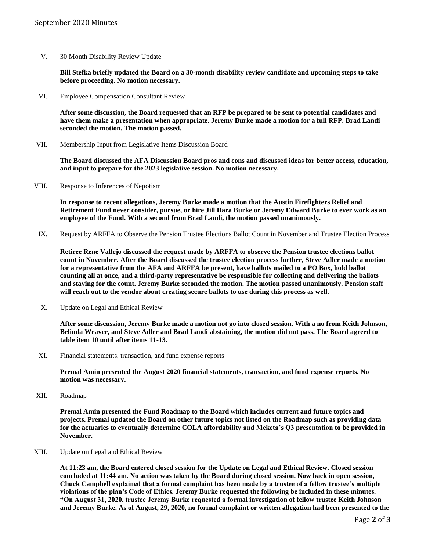V. 30 Month Disability Review Update

**Bill Stefka briefly updated the Board on a 30-month disability review candidate and upcoming steps to take before proceeding. No motion necessary.**

VI. Employee Compensation Consultant Review

**After some discussion, the Board requested that an RFP be prepared to be sent to potential candidates and have them make a presentation when appropriate. Jeremy Burke made a motion for a full RFP. Brad Landi seconded the motion. The motion passed.**

VII. Membership Input from Legislative Items Discussion Board

**The Board discussed the AFA Discussion Board pros and cons and discussed ideas for better access, education, and input to prepare for the 2023 legislative session. No motion necessary.**

VIII. Response to Inferences of Nepotism

**In response to recent allegations, Jeremy Burke made a motion that the Austin Firefighters Relief and Retirement Fund never consider, pursue, or hire Jill Dara Burke or Jeremy Edward Burke to ever work as an employee of the Fund. With a second from Brad Landi, the motion passed unanimously.**

IX. Request by ARFFA to Observe the Pension Trustee Elections Ballot Count in November and Trustee Election Process

**Retiree Rene Vallejo discussed the request made by ARFFA to observe the Pension trustee elections ballot count in November. After the Board discussed the trustee election process further, Steve Adler made a motion for a representative from the AFA and ARFFA be present, have ballots mailed to a PO Box, hold ballot counting all at once, and a third-party representative be responsible for collecting and delivering the ballots and staying for the count. Jeremy Burke seconded the motion. The motion passed unanimously. Pension staff will reach out to the vendor about creating secure ballots to use during this process as well.**

X. Update on Legal and Ethical Review

**After some discussion, Jeremy Burke made a motion not go into closed session. With a no from Keith Johnson, Belinda Weaver, and Steve Adler and Brad Landi abstaining, the motion did not pass. The Board agreed to table item 10 until after items 11-13.**

XI. Financial statements, transaction, and fund expense reports

**Premal Amin presented the August 2020 financial statements, transaction, and fund expense reports. No motion was necessary.**

XII. Roadmap

**Premal Amin presented the Fund Roadmap to the Board which includes current and future topics and projects. Premal updated the Board on other future topics not listed on the Roadmap such as providing data for the actuaries to eventually determine COLA affordability and Meketa's Q3 presentation to be provided in November.**

XIII. Update on Legal and Ethical Review

**At 11:23 am, the Board entered closed session for the Update on Legal and Ethical Review. Closed session concluded at 11:44 am. No action was taken by the Board during closed session. Now back in open session, Chuck Campbell explained that a formal complaint has been made by a trustee of a fellow trustee's multiple violations of the plan's Code of Ethics. Jeremy Burke requested the following be included in these minutes. "On August 31, 2020, trustee Jeremy Burke requested a formal investigation of fellow trustee Keith Johnson and Jeremy Burke. As of August, 29, 2020, no formal complaint or written allegation had been presented to the**